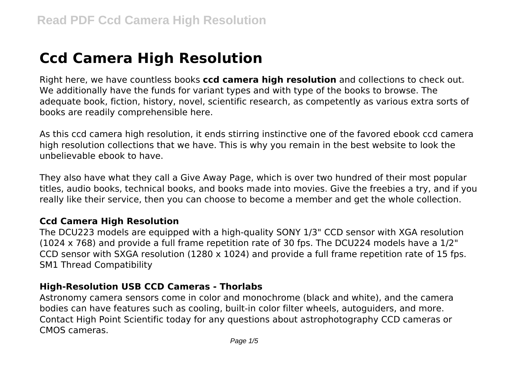# **Ccd Camera High Resolution**

Right here, we have countless books **ccd camera high resolution** and collections to check out. We additionally have the funds for variant types and with type of the books to browse. The adequate book, fiction, history, novel, scientific research, as competently as various extra sorts of books are readily comprehensible here.

As this ccd camera high resolution, it ends stirring instinctive one of the favored ebook ccd camera high resolution collections that we have. This is why you remain in the best website to look the unbelievable ebook to have.

They also have what they call a Give Away Page, which is over two hundred of their most popular titles, audio books, technical books, and books made into movies. Give the freebies a try, and if you really like their service, then you can choose to become a member and get the whole collection.

#### **Ccd Camera High Resolution**

The DCU223 models are equipped with a high-quality SONY 1/3" CCD sensor with XGA resolution (1024 x 768) and provide a full frame repetition rate of 30 fps. The DCU224 models have a 1/2" CCD sensor with SXGA resolution (1280 x 1024) and provide a full frame repetition rate of 15 fps. SM1 Thread Compatibility

#### **High-Resolution USB CCD Cameras - Thorlabs**

Astronomy camera sensors come in color and monochrome (black and white), and the camera bodies can have features such as cooling, built-in color filter wheels, autoguiders, and more. Contact High Point Scientific today for any questions about astrophotography CCD cameras or CMOS cameras.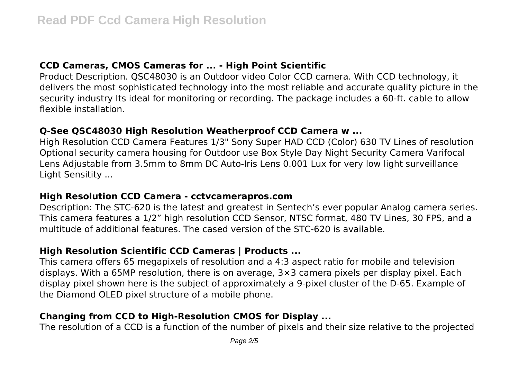#### **CCD Cameras, CMOS Cameras for ... - High Point Scientific**

Product Description. QSC48030 is an Outdoor video Color CCD camera. With CCD technology, it delivers the most sophisticated technology into the most reliable and accurate quality picture in the security industry Its ideal for monitoring or recording. The package includes a 60-ft. cable to allow flexible installation.

#### **Q-See QSC48030 High Resolution Weatherproof CCD Camera w ...**

High Resolution CCD Camera Features 1/3" Sony Super HAD CCD (Color) 630 TV Lines of resolution Optional security camera housing for Outdoor use Box Style Day Night Security Camera Varifocal Lens Adjustable from 3.5mm to 8mm DC Auto-Iris Lens 0.001 Lux for very low light surveillance Light Sensitity ...

#### **High Resolution CCD Camera - cctvcamerapros.com**

Description: The STC-620 is the latest and greatest in Sentech's ever popular Analog camera series. This camera features a 1/2" high resolution CCD Sensor, NTSC format, 480 TV Lines, 30 FPS, and a multitude of additional features. The cased version of the STC-620 is available.

#### **High Resolution Scientific CCD Cameras | Products ...**

This camera offers 65 megapixels of resolution and a 4:3 aspect ratio for mobile and television displays. With a 65MP resolution, there is on average, 3×3 camera pixels per display pixel. Each display pixel shown here is the subject of approximately a 9-pixel cluster of the D-65. Example of the Diamond OLED pixel structure of a mobile phone.

# **Changing from CCD to High-Resolution CMOS for Display ...**

The resolution of a CCD is a function of the number of pixels and their size relative to the projected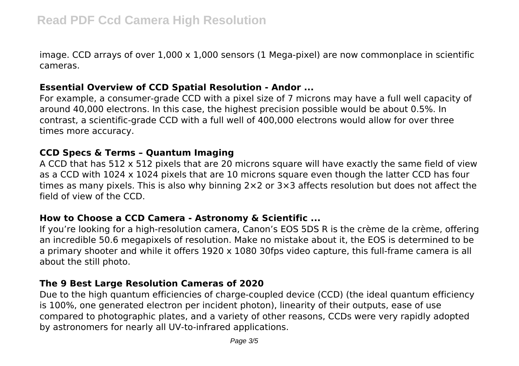image. CCD arrays of over  $1,000 \times 1,000$  sensors (1 Mega-pixel) are now commonplace in scientific cameras.

### **Essential Overview of CCD Spatial Resolution - Andor ...**

For example, a consumer-grade CCD with a pixel size of 7 microns may have a full well capacity of around 40,000 electrons. In this case, the highest precision possible would be about 0.5%. In contrast, a scientific-grade CCD with a full well of 400,000 electrons would allow for over three times more accuracy.

#### **CCD Specs & Terms – Quantum Imaging**

A CCD that has 512 x 512 pixels that are 20 microns square will have exactly the same field of view as a CCD with 1024 x 1024 pixels that are 10 microns square even though the latter CCD has four times as many pixels. This is also why binning 2×2 or 3×3 affects resolution but does not affect the field of view of the CCD.

#### **How to Choose a CCD Camera - Astronomy & Scientific ...**

If you're looking for a high-resolution camera, Canon's EOS 5DS R is the crème de la crème, offering an incredible 50.6 megapixels of resolution. Make no mistake about it, the EOS is determined to be a primary shooter and while it offers 1920 x 1080 30fps video capture, this full-frame camera is all about the still photo.

# **The 9 Best Large Resolution Cameras of 2020**

Due to the high quantum efficiencies of charge-coupled device (CCD) (the ideal quantum efficiency is 100%, one generated electron per incident photon), linearity of their outputs, ease of use compared to photographic plates, and a variety of other reasons, CCDs were very rapidly adopted by astronomers for nearly all UV-to-infrared applications.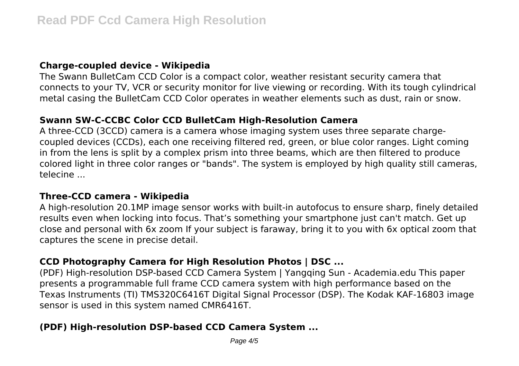#### **Charge-coupled device - Wikipedia**

The Swann BulletCam CCD Color is a compact color, weather resistant security camera that connects to your TV, VCR or security monitor for live viewing or recording. With its tough cylindrical metal casing the BulletCam CCD Color operates in weather elements such as dust, rain or snow.

#### **Swann SW-C-CCBC Color CCD BulletCam High-Resolution Camera**

A three-CCD (3CCD) camera is a camera whose imaging system uses three separate chargecoupled devices (CCDs), each one receiving filtered red, green, or blue color ranges. Light coming in from the lens is split by a complex prism into three beams, which are then filtered to produce colored light in three color ranges or "bands". The system is employed by high quality still cameras, telecine ...

#### **Three-CCD camera - Wikipedia**

A high-resolution 20.1MP image sensor works with built-in autofocus to ensure sharp, finely detailed results even when locking into focus. That's something your smartphone just can't match. Get up close and personal with 6x zoom If your subject is faraway, bring it to you with 6x optical zoom that captures the scene in precise detail.

# **CCD Photography Camera for High Resolution Photos | DSC ...**

(PDF) High-resolution DSP-based CCD Camera System | Yangqing Sun - Academia.edu This paper presents a programmable full frame CCD camera system with high performance based on the Texas Instruments (TI) TMS320C6416T Digital Signal Processor (DSP). The Kodak KAF-16803 image sensor is used in this system named CMR6416T.

# **(PDF) High-resolution DSP-based CCD Camera System ...**